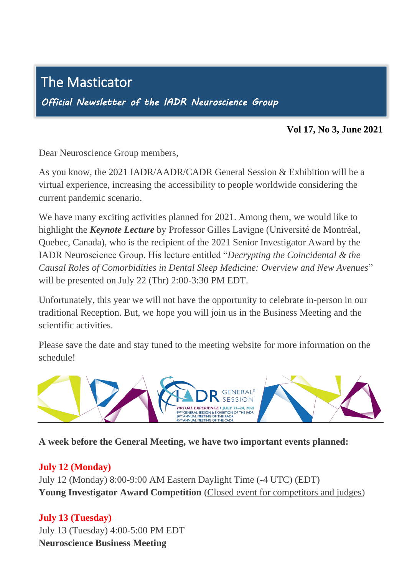# The Masticator

I

*Official Newsletter of the IADR Neuroscience Group* 

#### **Vol 17, No 3, June 2021**

Dear Neuroscience Group members,

As you know, the 2021 IADR/AADR/CADR General Session & Exhibition will be a As you know, the 2021 IADR/AADR/CADR General Session  $\alpha$  Exhibition will be virtual experience, increasing the accessibility to people worldwide considering the current pandemic scenario. ֦֪֦֧֪֘֝֝֟<br><del>֚</del>

We have many exciting activities planned for 2021. Among them, we would like to highlight the *Keynote Lecture* by Professor Gilles Lavigne (Université de Montréal, Quebec, Canada), who is the recipient of the 2021 Senior Investigator Award by the Quebec, Canada), who is the recipient of the 2021 Senior Investigator Award by the IADR Neuroscience Group. His lecture entitled "*Decrypting the Coincidental & the Causal Roles of Comorbidities in Dental Sleep Medicine: Overview and New Avenues*" will be presented on July 22 (Thr) 2:00-3:30 PM EDT.

Unfortunately, this year we will not have the opportunity to celebrate in-person in our traditional Reception. But, we hope you will join us in the Business Meeting and the scientific activities.  $\overline{a}$ 

Please save the date and stay tuned to the meeting website for more information on the schedule!



**A week before the General Meeting, we have two important events planned:**

## **July 12 (Monday)**

July 12 (Monday) 8:00-9:00 AM Eastern Daylight Time (-4 UTC) (EDT) **Young Investigator Award Competition** (Closed event for competitors and judges)

## **July 13 (Tuesday)**

July 13 (Tuesday) 4:00-5:00 PM EDT **Neuroscience Business Meeting**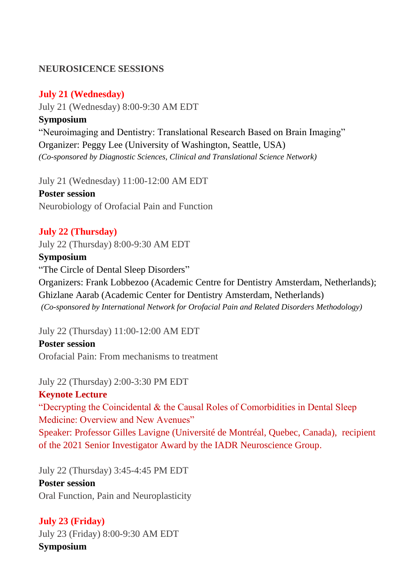### **NEUROSICENCE SESSIONS**

#### **July 21 (Wednesday)**

July 21 (Wednesday) 8:00-9:30 AM EDT **Symposium** "Neuroimaging and Dentistry: Translational Research Based on Brain Imaging" Organizer: Peggy Lee (University of Washington, Seattle, USA) *(Co-sponsored by Diagnostic Sciences, Clinical and Translational Science Network)*

July 21 (Wednesday) 11:00-12:00 AM EDT **Poster session** Neurobiology of Orofacial Pain and Function

### **July 22 (Thursday)**

July 22 (Thursday) 8:00-9:30 AM EDT

#### **Symposium**

"The Circle of Dental Sleep Disorders"

Organizers: Frank Lobbezoo (Academic Centre for Dentistry Amsterdam, Netherlands); Ghizlane Aarab (Academic Center for Dentistry Amsterdam, Netherlands) *(Co-sponsored by International Network for Orofacial Pain and Related Disorders Methodology)*

July 22 (Thursday) 11:00-12:00 AM EDT

**Poster session** Orofacial Pain: From mechanisms to treatment

July 22 (Thursday) 2:00-3:30 PM EDT **Keynote Lecture** "Decrypting the Coincidental & the Causal Roles of Comorbidities in Dental Sleep Medicine: Overview and New Avenues" Speaker: Professor Gilles Lavigne (Université de Montréal, Quebec, Canada), recipient of the 2021 Senior Investigator Award by the IADR Neuroscience Group.

July 22 (Thursday) 3:45-4:45 PM EDT **Poster session** Oral Function, Pain and Neuroplasticity

## **July 23 (Friday)**

July 23 (Friday) 8:00-9:30 AM EDT **Symposium**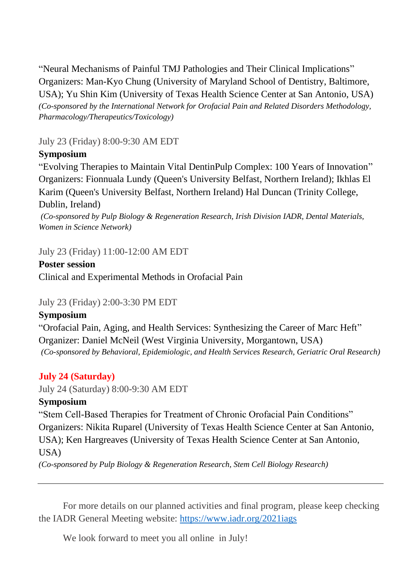"Neural Mechanisms of Painful TMJ Pathologies and Their Clinical Implications" Organizers: Man-Kyo Chung (University of Maryland School of Dentistry, Baltimore, USA); Yu Shin Kim (University of Texas Health Science Center at San Antonio, USA) *(Co-sponsored by the International Network for Orofacial Pain and Related Disorders Methodology, Pharmacology/Therapeutics/Toxicology)*

July 23 (Friday) 8:00-9:30 AM EDT

# **Symposium**

"Evolving Therapies to Maintain Vital DentinPulp Complex: 100 Years of Innovation" Organizers: Fionnuala Lundy (Queen's University Belfast, Northern Ireland); Ikhlas El Karim (Queen's University Belfast, Northern Ireland) Hal Duncan (Trinity College, Dublin, Ireland)

*(Co-sponsored by Pulp Biology & Regeneration Research, Irish Division IADR, Dental Materials, Women in Science Network)*

July 23 (Friday) 11:00-12:00 AM EDT

## **Poster session**

Clinical and Experimental Methods in Orofacial Pain

# July 23 (Friday) 2:00-3:30 PM EDT

# **Symposium**

"Orofacial Pain, Aging, and Health Services: Synthesizing the Career of Marc Heft" Organizer: Daniel McNeil (West Virginia University, Morgantown, USA) *(Co-sponsored by Behavioral, Epidemiologic, and Health Services Research, Geriatric Oral Research)*

# **July 24 (Saturday)**

July 24 (Saturday) 8:00-9:30 AM EDT

# **Symposium**

"Stem Cell-Based Therapies for Treatment of Chronic Orofacial Pain Conditions" Organizers: Nikita Ruparel (University of Texas Health Science Center at San Antonio, USA); Ken Hargreaves (University of Texas Health Science Center at San Antonio, USA)

*(Co-sponsored by Pulp Biology & Regeneration Research, Stem Cell Biology Research)*

For more details on our planned activities and final program, please keep checking the IADR General Meeting website:<https://www.iadr.org/2021iags>

We look forward to meet you all online in July!